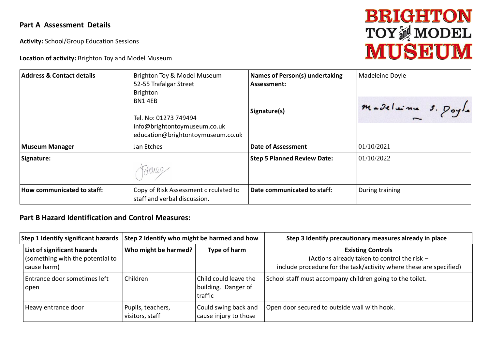## **Part A Assessment Details**

**Activity:** School/Group Education Sessions

**Location of activity:** Brighton Toy and Model Museum

## **BRIGHTON TOY<sup>M</sup>MODEL**

| <b>Address &amp; Contact details</b> | Brighton Toy & Model Museum<br>52-55 Trafalgar Street<br>Brighton                                    | <b>Names of Person(s) undertaking</b><br>Assessment: | Madeleine Doyle    |  |  |
|--------------------------------------|------------------------------------------------------------------------------------------------------|------------------------------------------------------|--------------------|--|--|
|                                      | BN14EB<br>Tel. No: 01273 749494<br>info@brightontoymuseum.co.uk<br>education@brightontoymuseum.co.uk | Signature(s)                                         | madelaine s. Poyle |  |  |
| <b>Museum Manager</b>                | Jan Etches                                                                                           | <b>Date of Assessment</b>                            | 01/10/2021         |  |  |
| Signature:                           |                                                                                                      | <b>Step 5 Planned Review Date:</b>                   | 01/10/2022         |  |  |
| How communicated to staff:           | Copy of Risk Assessment circulated to<br>staff and verbal discussion.                                | Date communicated to staff:                          | During training    |  |  |

## **Part B Hazard Identification and Control Measures:**

| <b>Step 1 Identify significant hazards</b>                                     | Step 2 Identify who might be harmed and how |                                                         | Step 3 Identify precautionary measures already in place                                                                                        |  |  |
|--------------------------------------------------------------------------------|---------------------------------------------|---------------------------------------------------------|------------------------------------------------------------------------------------------------------------------------------------------------|--|--|
| List of significant hazards<br>(something with the potential to<br>cause harm) | Who might be harmed?                        | Type of harm                                            | <b>Existing Controls</b><br>(Actions already taken to control the risk -<br>include procedure for the task/activity where these are specified) |  |  |
| Entrance door sometimes left<br>open                                           | Children                                    | Child could leave the<br>building. Danger of<br>traffic | School staff must accompany children going to the toilet.                                                                                      |  |  |
| Heavy entrance door                                                            | Pupils, teachers,<br>visitors, staff        | Could swing back and<br>cause injury to those           | Open door secured to outside wall with hook.                                                                                                   |  |  |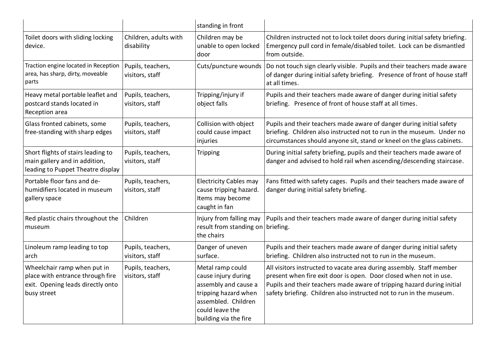|                                                                                                                     |                                      | standing in front                                                                                                                                          |                                                                                                                                                                                                                                                                                            |
|---------------------------------------------------------------------------------------------------------------------|--------------------------------------|------------------------------------------------------------------------------------------------------------------------------------------------------------|--------------------------------------------------------------------------------------------------------------------------------------------------------------------------------------------------------------------------------------------------------------------------------------------|
| Toilet doors with sliding locking<br>device.                                                                        | Children, adults with<br>disability  | Children may be<br>unable to open locked<br>door                                                                                                           | Children instructed not to lock toilet doors during initial safety briefing.<br>Emergency pull cord in female/disabled toilet. Lock can be dismantled<br>from outside.                                                                                                                     |
| Traction engine located in Reception<br>area, has sharp, dirty, moveable<br>parts                                   | Pupils, teachers,<br>visitors, staff | Cuts/puncture wounds                                                                                                                                       | Do not touch sign clearly visible. Pupils and their teachers made aware<br>of danger during initial safety briefing. Presence of front of house staff<br>at all times.                                                                                                                     |
| Heavy metal portable leaflet and<br>postcard stands located in<br>Reception area                                    | Pupils, teachers,<br>visitors, staff | Tripping/injury if<br>object falls                                                                                                                         | Pupils and their teachers made aware of danger during initial safety<br>briefing. Presence of front of house staff at all times.                                                                                                                                                           |
| Glass fronted cabinets, some<br>free-standing with sharp edges                                                      | Pupils, teachers,<br>visitors, staff | Collision with object<br>could cause impact<br>injuries                                                                                                    | Pupils and their teachers made aware of danger during initial safety<br>briefing. Children also instructed not to run in the museum. Under no<br>circumstances should anyone sit, stand or kneel on the glass cabinets.                                                                    |
| Short flights of stairs leading to<br>main gallery and in addition,<br>leading to Puppet Theatre display            | Pupils, teachers,<br>visitors, staff | Tripping                                                                                                                                                   | During initial safety briefing, pupils and their teachers made aware of<br>danger and advised to hold rail when ascending/descending staircase.                                                                                                                                            |
| Portable floor fans and de-<br>humidifiers located in museum<br>gallery space                                       | Pupils, teachers,<br>visitors, staff | <b>Electricity Cables may</b><br>cause tripping hazard.<br>Items may become<br>caught in fan                                                               | Fans fitted with safety cages. Pupils and their teachers made aware of<br>danger during initial safety briefing.                                                                                                                                                                           |
| Red plastic chairs throughout the<br>museum                                                                         | Children                             | Injury from falling may<br>result from standing on<br>the chairs                                                                                           | Pupils and their teachers made aware of danger during initial safety<br>briefing.                                                                                                                                                                                                          |
| Linoleum ramp leading to top<br>arch                                                                                | Pupils, teachers,<br>visitors, staff | Danger of uneven<br>surface.                                                                                                                               | Pupils and their teachers made aware of danger during initial safety<br>briefing. Children also instructed not to run in the museum.                                                                                                                                                       |
| Wheelchair ramp when put in<br>place with entrance through fire<br>exit. Opening leads directly onto<br>busy street | Pupils, teachers,<br>visitors, staff | Metal ramp could<br>cause injury during<br>assembly and cause a<br>tripping hazard when<br>assembled. Children<br>could leave the<br>building via the fire | All visitors instructed to vacate area during assembly. Staff member<br>present when fire exit door is open. Door closed when not in use.<br>Pupils and their teachers made aware of tripping hazard during initial<br>safety briefing. Children also instructed not to run in the museum. |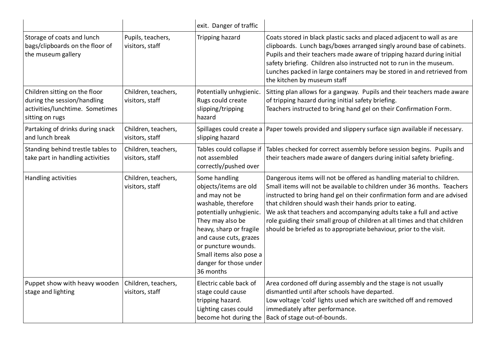|                                                                                                                    |                                        | exit. Danger of traffic                                                                                                                                                                                                                                                      |                                                                                                                                                                                                                                                                                                                                                                                                                                                                                                                 |
|--------------------------------------------------------------------------------------------------------------------|----------------------------------------|------------------------------------------------------------------------------------------------------------------------------------------------------------------------------------------------------------------------------------------------------------------------------|-----------------------------------------------------------------------------------------------------------------------------------------------------------------------------------------------------------------------------------------------------------------------------------------------------------------------------------------------------------------------------------------------------------------------------------------------------------------------------------------------------------------|
| Storage of coats and lunch<br>bags/clipboards on the floor of<br>the museum gallery                                | Pupils, teachers,<br>visitors, staff   | Tripping hazard                                                                                                                                                                                                                                                              | Coats stored in black plastic sacks and placed adjacent to wall as are<br>clipboards. Lunch bags/boxes arranged singly around base of cabinets.<br>Pupils and their teachers made aware of tripping hazard during initial<br>safety briefing. Children also instructed not to run in the museum.<br>Lunches packed in large containers may be stored in and retrieved from<br>the kitchen by museum staff                                                                                                       |
| Children sitting on the floor<br>during the session/handling<br>activities/lunchtime. Sometimes<br>sitting on rugs | Children, teachers,<br>visitors, staff | Potentially unhygienic.<br>Rugs could create<br>slipping/tripping<br>hazard                                                                                                                                                                                                  | Sitting plan allows for a gangway. Pupils and their teachers made aware<br>of tripping hazard during initial safety briefing.<br>Teachers instructed to bring hand gel on their Confirmation Form.                                                                                                                                                                                                                                                                                                              |
| Partaking of drinks during snack<br>and lunch break                                                                | Children, teachers,<br>visitors, staff | slipping hazard                                                                                                                                                                                                                                                              | Spillages could create a Paper towels provided and slippery surface sign available if necessary.                                                                                                                                                                                                                                                                                                                                                                                                                |
| Standing behind trestle tables to<br>take part in handling activities                                              | Children, teachers,<br>visitors, staff | Tables could collapse if<br>not assembled<br>correctly/pushed over                                                                                                                                                                                                           | Tables checked for correct assembly before session begins. Pupils and<br>their teachers made aware of dangers during initial safety briefing.                                                                                                                                                                                                                                                                                                                                                                   |
| Handling activities                                                                                                | Children, teachers,<br>visitors, staff | Some handling<br>objects/items are old<br>and may not be<br>washable, therefore<br>potentially unhygienic.<br>They may also be<br>heavy, sharp or fragile<br>and cause cuts, grazes<br>or puncture wounds.<br>Small items also pose a<br>danger for those under<br>36 months | Dangerous items will not be offered as handling material to children.<br>Small items will not be available to children under 36 months. Teachers<br>instructed to bring hand gel on their confirmation form and are advised<br>that children should wash their hands prior to eating.<br>We ask that teachers and accompanying adults take a full and active<br>role guiding their small group of children at all times and that children<br>should be briefed as to appropriate behaviour, prior to the visit. |
| Puppet show with heavy wooden<br>stage and lighting                                                                | Children, teachers,<br>visitors, staff | Electric cable back of<br>stage could cause<br>tripping hazard.<br>Lighting cases could<br>become hot during the                                                                                                                                                             | Area cordoned off during assembly and the stage is not usually<br>dismantled until after schools have departed.<br>Low voltage 'cold' lights used which are switched off and removed<br>immediately after performance.<br>Back of stage out-of-bounds.                                                                                                                                                                                                                                                          |